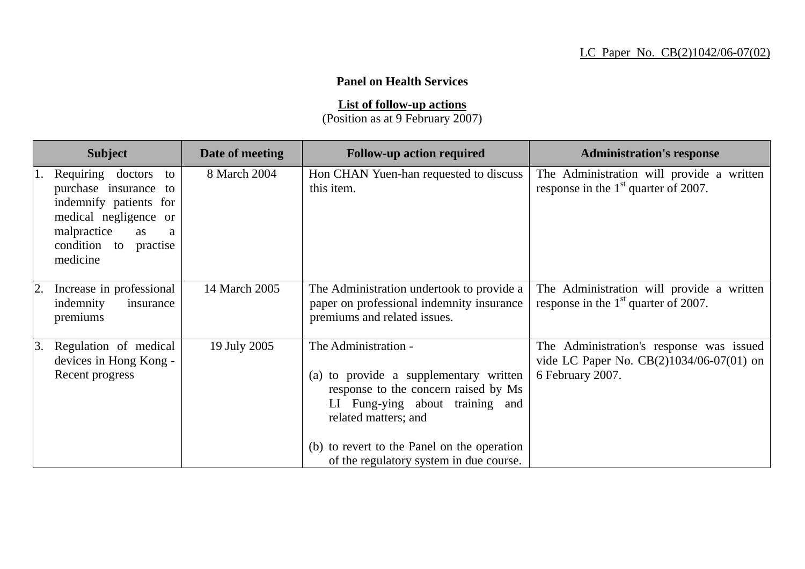## **Panel on Health Services**

**List of follow-up actions**

(Position as at 9 February 2007)

| <b>Subject</b>                                                                                                                                                     | Date of meeting | <b>Follow-up action required</b>                                                                                                                                                                                 | <b>Administration's response</b>                                                                         |
|--------------------------------------------------------------------------------------------------------------------------------------------------------------------|-----------------|------------------------------------------------------------------------------------------------------------------------------------------------------------------------------------------------------------------|----------------------------------------------------------------------------------------------------------|
| Requiring doctors<br>to<br>purchase insurance to<br>indemnify patients for<br>medical negligence or<br>malpractice<br>as<br>a<br>condition to practise<br>medicine | 8 March 2004    | Hon CHAN Yuen-han requested to discuss<br>this item.                                                                                                                                                             | The Administration will provide a written<br>response in the $1st$ quarter of 2007.                      |
| Increase in professional<br>2.<br>indemnity<br>insurance<br>premiums                                                                                               | 14 March 2005   | The Administration undertook to provide a<br>paper on professional indemnity insurance<br>premiums and related issues.                                                                                           | The Administration will provide a written<br>response in the $1st$ quarter of 2007.                      |
| Regulation of medical<br>3.<br>devices in Hong Kong -<br>Recent progress                                                                                           | 19 July 2005    | The Administration -<br>(a) to provide a supplementary written<br>response to the concern raised by Ms<br>LI Fung-ying about training and<br>related matters; and<br>(b) to revert to the Panel on the operation | The Administration's response was issued<br>vide LC Paper No. CB(2)1034/06-07(01) on<br>6 February 2007. |
|                                                                                                                                                                    |                 | of the regulatory system in due course.                                                                                                                                                                          |                                                                                                          |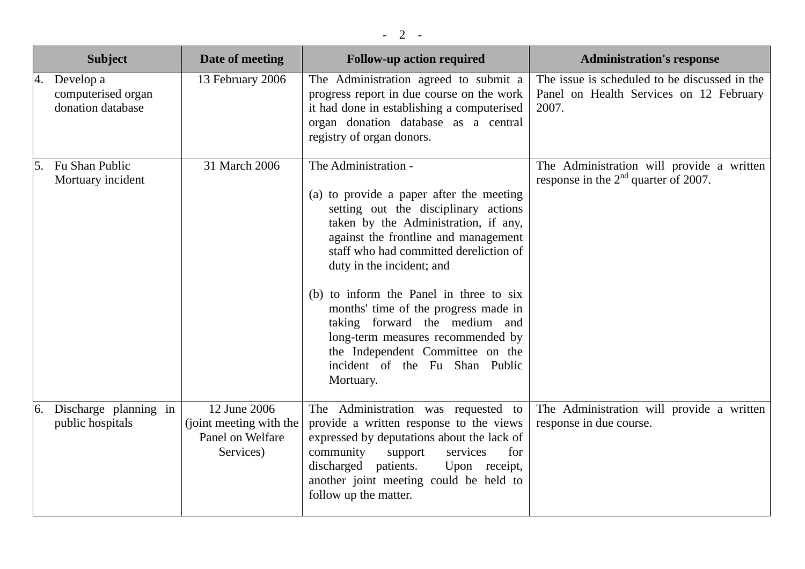|    | <b>Subject</b>                                       | Date of meeting                                                          | <b>Follow-up action required</b>                                                                                                                                                                                                                                                                                                                                                                                                                                                                            | <b>Administration's response</b>                                                                  |
|----|------------------------------------------------------|--------------------------------------------------------------------------|-------------------------------------------------------------------------------------------------------------------------------------------------------------------------------------------------------------------------------------------------------------------------------------------------------------------------------------------------------------------------------------------------------------------------------------------------------------------------------------------------------------|---------------------------------------------------------------------------------------------------|
| 4. | Develop a<br>computerised organ<br>donation database | 13 February 2006                                                         | The Administration agreed to submit a<br>progress report in due course on the work<br>it had done in establishing a computerised<br>organ donation database as a central<br>registry of organ donors.                                                                                                                                                                                                                                                                                                       | The issue is scheduled to be discussed in the<br>Panel on Health Services on 12 February<br>2007. |
| 5. | Fu Shan Public<br>Mortuary incident                  | 31 March 2006                                                            | The Administration -<br>(a) to provide a paper after the meeting<br>setting out the disciplinary actions<br>taken by the Administration, if any,<br>against the frontline and management<br>staff who had committed dereliction of<br>duty in the incident; and<br>(b) to inform the Panel in three to six<br>months' time of the progress made in<br>taking forward the medium and<br>long-term measures recommended by<br>the Independent Committee on the<br>incident of the Fu Shan Public<br>Mortuary. | The Administration will provide a written<br>response in the $2nd$ quarter of 2007.               |
|    | 6. Discharge planning in<br>public hospitals         | 12 June 2006<br>(joint meeting with the<br>Panel on Welfare<br>Services) | The Administration was requested to<br>provide a written response to the views<br>expressed by deputations about the lack of<br>community<br>support<br>services<br>for<br>discharged patients.<br>Upon receipt,<br>another joint meeting could be held to<br>follow up the matter.                                                                                                                                                                                                                         | The Administration will provide a written<br>response in due course.                              |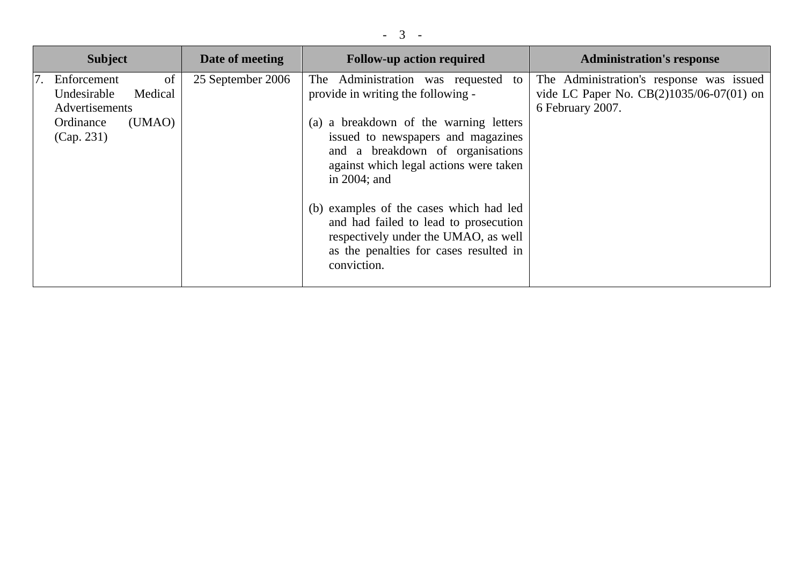| <b>Subject</b>                                                                                     | Date of meeting   | <b>Follow-up action required</b>                                                                                                                                                                                                                                                                                                                                                                                                                   | <b>Administration's response</b>                                                                           |
|----------------------------------------------------------------------------------------------------|-------------------|----------------------------------------------------------------------------------------------------------------------------------------------------------------------------------------------------------------------------------------------------------------------------------------------------------------------------------------------------------------------------------------------------------------------------------------------------|------------------------------------------------------------------------------------------------------------|
| of<br>Enforcement<br>Undesirable<br>Medical<br>Advertisements<br>Ordinance<br>(UMAO)<br>(Cap. 231) | 25 September 2006 | The Administration was requested<br>to<br>provide in writing the following -<br>(a) a breakdown of the warning letters<br>issued to newspapers and magazines<br>and a breakdown of organisations<br>against which legal actions were taken<br>in $2004$ ; and<br>(b) examples of the cases which had led<br>and had failed to lead to prosecution<br>respectively under the UMAO, as well<br>as the penalties for cases resulted in<br>conviction. | The Administration's response was issued<br>vide LC Paper No. $CB(2)1035/06-07(01)$ on<br>6 February 2007. |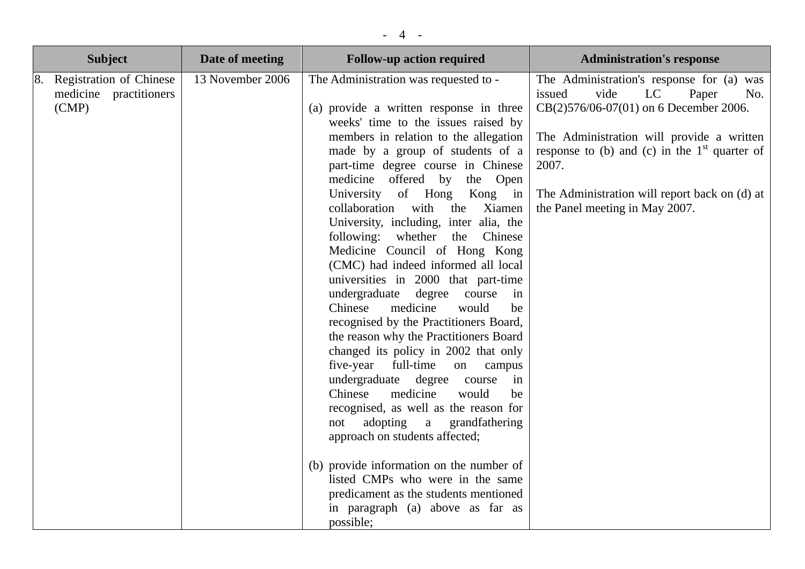|    | <b>Subject</b>                                                    | Date of meeting  | <b>Follow-up action required</b>                                                                                                                                                                                                                                                                                                                                                                                                                                                                                                                                                                                                                                                                                                                                                                                                                                                                                                                                                                                                                                                                                                                                            | <b>Administration's response</b>                                                                                                                                                                                                                                                                                        |
|----|-------------------------------------------------------------------|------------------|-----------------------------------------------------------------------------------------------------------------------------------------------------------------------------------------------------------------------------------------------------------------------------------------------------------------------------------------------------------------------------------------------------------------------------------------------------------------------------------------------------------------------------------------------------------------------------------------------------------------------------------------------------------------------------------------------------------------------------------------------------------------------------------------------------------------------------------------------------------------------------------------------------------------------------------------------------------------------------------------------------------------------------------------------------------------------------------------------------------------------------------------------------------------------------|-------------------------------------------------------------------------------------------------------------------------------------------------------------------------------------------------------------------------------------------------------------------------------------------------------------------------|
| 8. | <b>Registration of Chinese</b><br>medicine practitioners<br>(CMP) | 13 November 2006 | The Administration was requested to -<br>(a) provide a written response in three<br>weeks' time to the issues raised by<br>members in relation to the allegation<br>made by a group of students of a<br>part-time degree course in Chinese<br>medicine offered by<br>the Open<br>University of Hong<br>Kong in<br>collaboration with<br>the<br>Xiamen<br>University, including, inter alia, the<br>following: whether the Chinese<br>Medicine Council of Hong Kong<br>(CMC) had indeed informed all local<br>universities in 2000 that part-time<br>undergraduate<br>degree<br>course<br>in<br>medicine<br>Chinese<br>would<br>be<br>recognised by the Practitioners Board,<br>the reason why the Practitioners Board<br>changed its policy in 2002 that only<br>five-year<br>full-time<br>on campus<br>undergraduate degree course<br>in<br>medicine<br>Chinese<br>would<br>be<br>recognised, as well as the reason for<br>adopting a<br>grandfathering<br>not<br>approach on students affected;<br>(b) provide information on the number of<br>listed CMPs who were in the same<br>predicament as the students mentioned<br>in paragraph (a) above as far as<br>possible; | The Administration's response for (a) was<br>issued<br>vide<br>LC<br>Paper<br>No.<br>CB(2)576/06-07(01) on 6 December 2006.<br>The Administration will provide a written<br>response to (b) and (c) in the $1st$ quarter of<br>2007.<br>The Administration will report back on (d) at<br>the Panel meeting in May 2007. |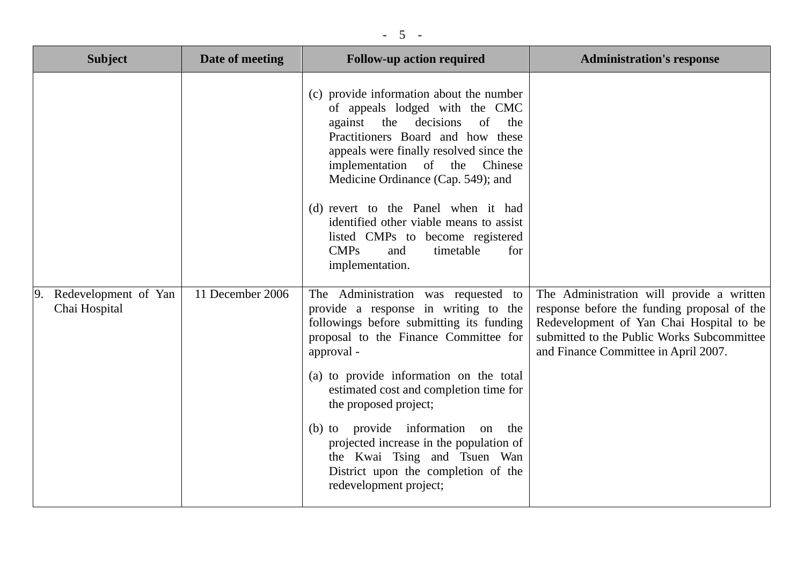| <b>Subject</b>                        | Date of meeting  | <b>Follow-up action required</b>                                                                                                                                                                                                                                                                                                                                                                                                                                                 | <b>Administration's response</b>                                                                                                                                                                                           |
|---------------------------------------|------------------|----------------------------------------------------------------------------------------------------------------------------------------------------------------------------------------------------------------------------------------------------------------------------------------------------------------------------------------------------------------------------------------------------------------------------------------------------------------------------------|----------------------------------------------------------------------------------------------------------------------------------------------------------------------------------------------------------------------------|
|                                       |                  | (c) provide information about the number<br>of appeals lodged with the CMC<br>against the decisions<br>of<br>the<br>Practitioners Board and how these<br>appeals were finally resolved since the<br>implementation of the Chinese<br>Medicine Ordinance (Cap. 549); and<br>(d) revert to the Panel when it had<br>identified other viable means to assist<br>listed CMPs to become registered<br><b>CMPs</b><br>timetable<br>and<br>for<br>implementation.                       |                                                                                                                                                                                                                            |
| Redevelopment of Yan<br>Chai Hospital | 11 December 2006 | The Administration was requested to<br>provide a response in writing to the<br>followings before submitting its funding<br>proposal to the Finance Committee for<br>approval -<br>(a) to provide information on the total<br>estimated cost and completion time for<br>the proposed project;<br>(b) to provide information<br>on the<br>projected increase in the population of<br>the Kwai Tsing and Tsuen Wan<br>District upon the completion of the<br>redevelopment project; | The Administration will provide a written<br>response before the funding proposal of the<br>Redevelopment of Yan Chai Hospital to be<br>submitted to the Public Works Subcommittee<br>and Finance Committee in April 2007. |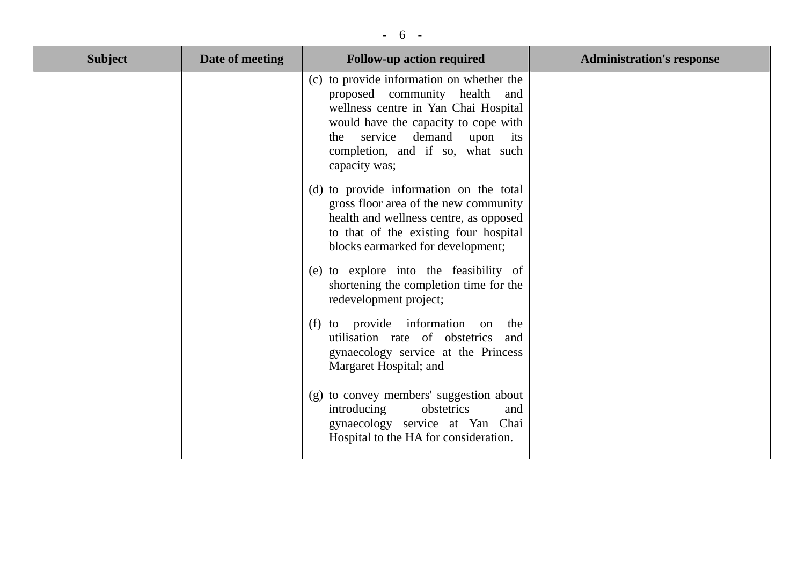## - 6 -

| <b>Subject</b> | Date of meeting | <b>Follow-up action required</b>                                                                                                                                                                                                               | <b>Administration's response</b> |
|----------------|-----------------|------------------------------------------------------------------------------------------------------------------------------------------------------------------------------------------------------------------------------------------------|----------------------------------|
|                |                 | (c) to provide information on whether the<br>proposed community health and<br>wellness centre in Yan Chai Hospital<br>would have the capacity to cope with<br>the service demand upon its<br>completion, and if so, what such<br>capacity was; |                                  |
|                |                 | (d) to provide information on the total<br>gross floor area of the new community<br>health and wellness centre, as opposed<br>to that of the existing four hospital<br>blocks earmarked for development;                                       |                                  |
|                |                 | (e) to explore into the feasibility of<br>shortening the completion time for the<br>redevelopment project;                                                                                                                                     |                                  |
|                |                 | (f) to provide information<br>on the<br>utilisation rate of obstetrics<br>and<br>gynaecology service at the Princess<br>Margaret Hospital; and                                                                                                 |                                  |
|                |                 | (g) to convey members' suggestion about<br>obstetrics<br>introducing<br>and<br>gynaecology service at Yan Chai<br>Hospital to the HA for consideration.                                                                                        |                                  |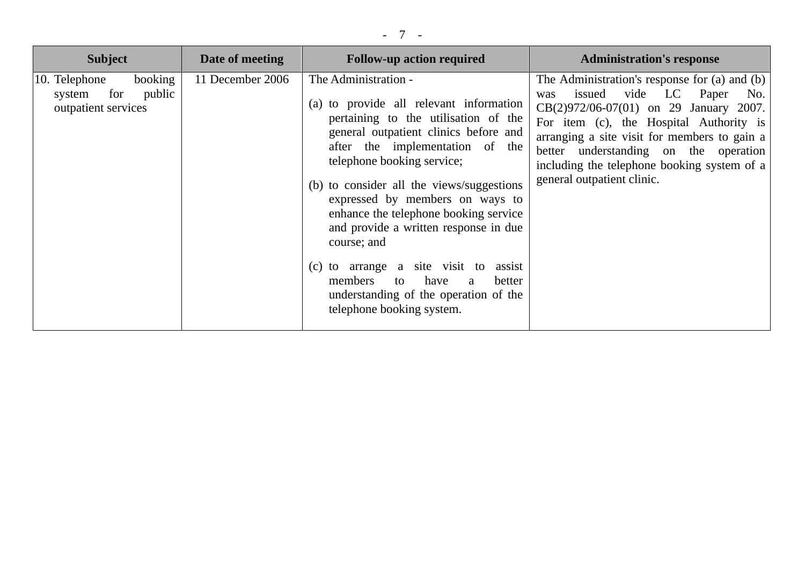| <b>Subject</b>                                                             | Date of meeting  | <b>Follow-up action required</b>                                                                                                                                                                                                                                                                                                                                                                                                                                                                                                                             | <b>Administration's response</b>                                                                                                                                                                                                                                                                                                                     |
|----------------------------------------------------------------------------|------------------|--------------------------------------------------------------------------------------------------------------------------------------------------------------------------------------------------------------------------------------------------------------------------------------------------------------------------------------------------------------------------------------------------------------------------------------------------------------------------------------------------------------------------------------------------------------|------------------------------------------------------------------------------------------------------------------------------------------------------------------------------------------------------------------------------------------------------------------------------------------------------------------------------------------------------|
| booking<br>10. Telephone<br>public<br>for<br>system<br>outpatient services | 11 December 2006 | The Administration -<br>(a) to provide all relevant information<br>pertaining to the utilisation of the<br>general outpatient clinics before and<br>after the implementation of the<br>telephone booking service;<br>(b) to consider all the views/suggestions<br>expressed by members on ways to<br>enhance the telephone booking service<br>and provide a written response in due<br>course; and<br>(c) to arrange a site visit to<br>assist<br>members<br>have<br>better<br>to<br>a<br>understanding of the operation of the<br>telephone booking system. | The Administration's response for (a) and (b)<br>vide LC<br>Paper<br>issued<br>No.<br>was<br>CB(2)972/06-07(01) on 29 January 2007.<br>For item (c), the Hospital Authority is<br>arranging a site visit for members to gain a<br>better understanding on the operation<br>including the telephone booking system of a<br>general outpatient clinic. |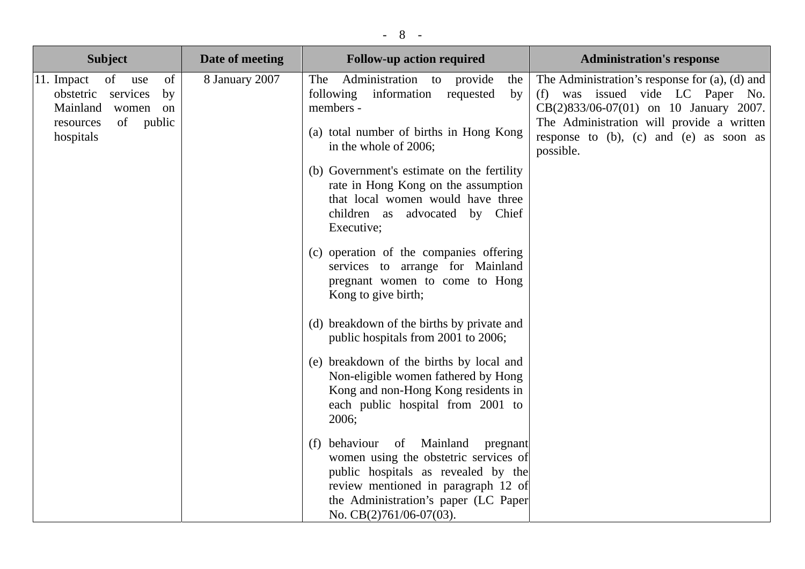| <b>Subject</b>                                                                                                                                | Date of meeting                                                                                                                                                                                                                                                                                                                                   | <b>Follow-up action required</b>                                                                                                                                                                                                              | <b>Administration's response</b> |
|-----------------------------------------------------------------------------------------------------------------------------------------------|---------------------------------------------------------------------------------------------------------------------------------------------------------------------------------------------------------------------------------------------------------------------------------------------------------------------------------------------------|-----------------------------------------------------------------------------------------------------------------------------------------------------------------------------------------------------------------------------------------------|----------------------------------|
| of<br>11. Impact<br>of use<br>8 January 2007<br>obstetric<br>services<br>by<br>Mainland<br>women on<br>of<br>public<br>resources<br>hospitals | Administration to<br>The<br>provide<br>the<br>following information<br>requested<br>by<br>members -<br>(a) total number of births in Hong Kong<br>in the whole of 2006;<br>(b) Government's estimate on the fertility<br>rate in Hong Kong on the assumption<br>that local women would have three<br>children as advocated by Chief<br>Executive; | The Administration's response for $(a)$ , $(d)$ and<br>(f) was issued vide LC Paper No.<br>CB(2)833/06-07(01) on 10 January 2007.<br>The Administration will provide a written<br>response to $(b)$ , $(c)$ and $(e)$ as soon as<br>possible. |                                  |
|                                                                                                                                               |                                                                                                                                                                                                                                                                                                                                                   | (c) operation of the companies offering<br>services to arrange for Mainland<br>pregnant women to come to Hong<br>Kong to give birth;                                                                                                          |                                  |
|                                                                                                                                               |                                                                                                                                                                                                                                                                                                                                                   | (d) breakdown of the births by private and<br>public hospitals from 2001 to 2006;                                                                                                                                                             |                                  |
|                                                                                                                                               |                                                                                                                                                                                                                                                                                                                                                   | (e) breakdown of the births by local and<br>Non-eligible women fathered by Hong<br>Kong and non-Hong Kong residents in<br>each public hospital from 2001 to<br>2006;                                                                          |                                  |
|                                                                                                                                               |                                                                                                                                                                                                                                                                                                                                                   | behaviour of Mainland<br>pregnant<br>(f)<br>women using the obstetric services of<br>public hospitals as revealed by the<br>review mentioned in paragraph 12 of<br>the Administration's paper (LC Paper<br>No. CB(2)761/06-07(03).            |                                  |